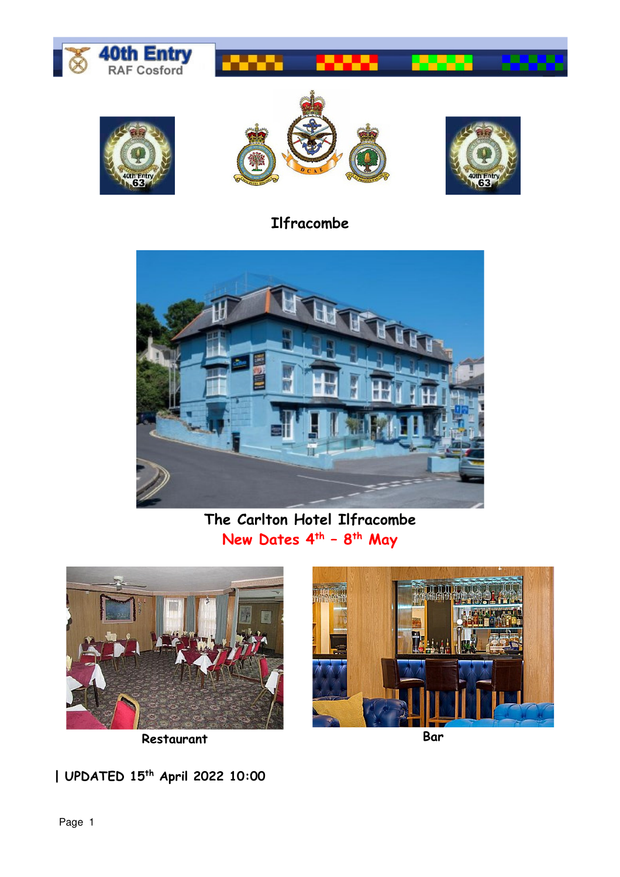





## **Ilfracombe**



## **The Carlton Hotel Ilfracombe New Dates 4th – 8th May**



**Restaurant Bar** 



**| UPDATED 15th April 2022 10:00**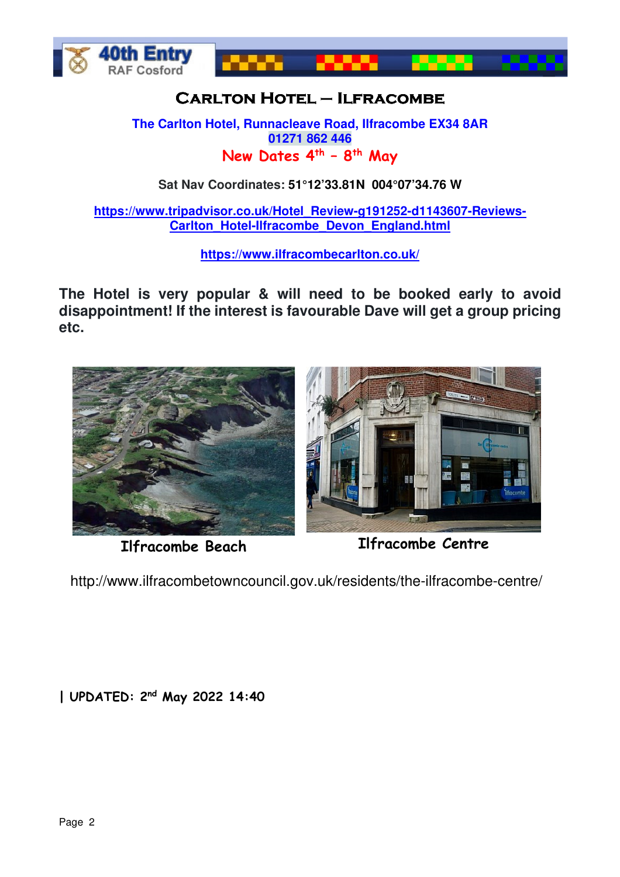



## **Carlton CarltonHotel – Ilfracombe Ilfracombe**

**The Carlton Hotel, Runnacleave Road, Ilfracombe EX34 8AR 01271 862 446 New Dates 4th – 8th May**

**Sat Nav Coordinates: 51°12'33.81N 004°07'34.76 W** 

**https://www.tripadvisor.co.uk/Hotel\_Review-g191252-d1143607-Reviews-Carlton\_Hotel-Ilfracombe\_Devon\_England.html** 

**https://www.ilfracombecarlton.co.uk/** 

**The Hotel is very popular & will need to be booked early to avoid disappointment! If the interest is favourable Dave will get a group pricing etc.**



**Ilfracombe Beach Ilfracombe Centre**

http://www.ilfracombetowncouncil.gov.uk/residents/the-ilfracombe-centre/

**| UPDATED: 2nd May 2022 14:40**